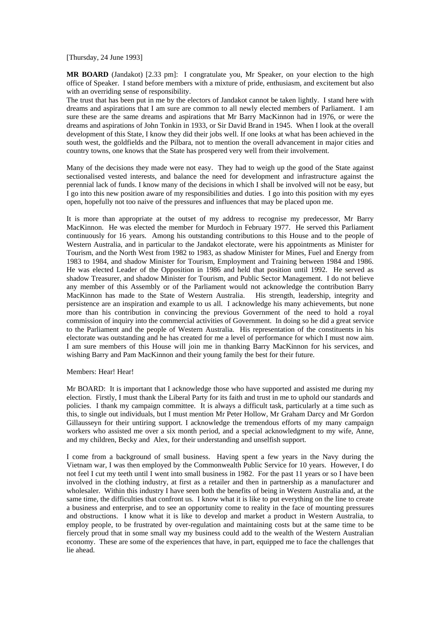[Thursday, 24 June 1993]

**MR BOARD** (Jandakot) [2.33 pm]: I congratulate you, Mr Speaker, on your election to the high office of Speaker. I stand before members with a mixture of pride, enthusiasm, and excitement but also with an overriding sense of responsibility.

The trust that has been put in me by the electors of Jandakot cannot be taken lightly. I stand here with dreams and aspirations that I am sure are common to all newly elected members of Parliament. I am sure these are the same dreams and aspirations that Mr Barry MacKinnon had in 1976, or were the dreams and aspirations of John Tonkin in 1933, or Sir David Brand in 1945. When I look at the overall development of this State, I know they did their jobs well. If one looks at what has been achieved in the south west, the goldfields and the Pilbara, not to mention the overall advancement in major cities and country towns, one knows that the State has prospered very well from their involvement.

Many of the decisions they made were not easy. They had to weigh up the good of the State against sectionalised vested interests, and balance the need for development and infrastructure against the perennial lack of funds. I know many of the decisions in which I shall be involved will not be easy, but I go into this new position aware of my responsibilities and duties. I go into this position with my eyes open, hopefully not too naive of the pressures and influences that may be placed upon me.

It is more than appropriate at the outset of my address to recognise my predecessor, Mr Barry MacKinnon. He was elected the member for Murdoch in February 1977. He served this Parliament continuously for 16 years. Among his outstanding contributions to this House and to the people of Western Australia, and in particular to the Jandakot electorate, were his appointments as Minister for Tourism, and the North West from 1982 to 1983, as shadow Minister for Mines, Fuel and Energy from 1983 to 1984, and shadow Minister for Tourism, Employment and Training between 1984 and 1986. He was elected Leader of the Opposition in 1986 and held that position until 1992. He served as shadow Treasurer, and shadow Minister for Tourism, and Public Sector Management. I do not believe any member of this Assembly or of the Parliament would not acknowledge the contribution Barry MacKinnon has made to the State of Western Australia. His strength, leadership, integrity and persistence are an inspiration and example to us all. I acknowledge his many achievements, but none more than his contribution in convincing the previous Government of the need to hold a royal commission of inquiry into the commercial activities of Government. In doing so he did a great service to the Parliament and the people of Western Australia. His representation of the constituents in his electorate was outstanding and he has created for me a level of performance for which I must now aim. I am sure members of this House will join me in thanking Barry MacKinnon for his services, and wishing Barry and Pam MacKinnon and their young family the best for their future.

## Members: Hear! Hear!

Mr BOARD: It is important that I acknowledge those who have supported and assisted me during my election. Firstly, I must thank the Liberal Party for its faith and trust in me to uphold our standards and policies. I thank my campaign committee. It is always a difficult task, particularly at a time such as this, to single out individuals, but I must mention Mr Peter Hollow, Mr Graham Darcy and Mr Gordon Gillausseyn for their untiring support. I acknowledge the tremendous efforts of my many campaign workers who assisted me over a six month period, and a special acknowledgment to my wife, Anne, and my children, Becky and Alex, for their understanding and unselfish support.

I come from a background of small business. Having spent a few years in the Navy during the Vietnam war, I was then employed by the Commonwealth Public Service for 10 years. However, I do not feel I cut my teeth until I went into small business in 1982. For the past 11 years or so I have been involved in the clothing industry, at first as a retailer and then in partnership as a manufacturer and wholesaler. Within this industry I have seen both the benefits of being in Western Australia and, at the same time, the difficulties that confront us. I know what it is like to put everything on the line to create a business and enterprise, and to see an opportunity come to reality in the face of mounting pressures and obstructions. I know what it is like to develop and market a product in Western Australia, to employ people, to be frustrated by over-regulation and maintaining costs but at the same time to be fiercely proud that in some small way my business could add to the wealth of the Western Australian economy. These are some of the experiences that have, in part, equipped me to face the challenges that lie ahead.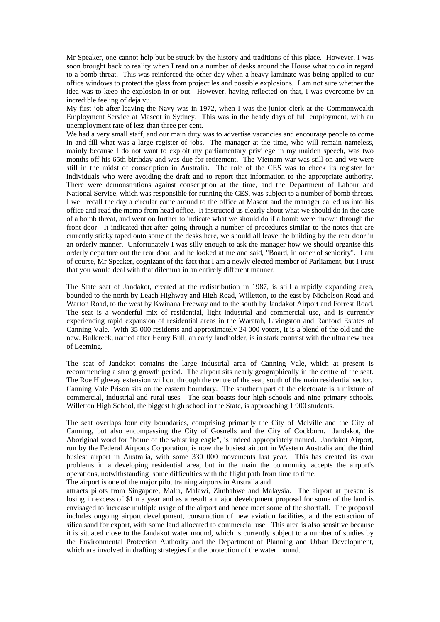Mr Speaker, one cannot help but be struck by the history and traditions of this place. However, I was soon brought back to reality when I read on a number of desks around the House what to do in regard to a bomb threat. This was reinforced the other day when a heavy laminate was being applied to our office windows to protect the glass from projectiles and possible explosions. I am not sure whether the idea was to keep the explosion in or out. However, having reflected on that, I was overcome by an incredible feeling of deja vu.

My first job after leaving the Navy was in 1972, when I was the junior clerk at the Commonwealth Employment Service at Mascot in Sydney. This was in the heady days of full employment, with an unemployment rate of less than three per cent.

We had a very small staff, and our main duty was to advertise vacancies and encourage people to come in and fill what was a large register of jobs. The manager at the time, who will remain nameless, mainly because I do not want to exploit my parliamentary privilege in my maiden speech, was two months off his 65th birthday and was due for retirement. The Vietnam war was still on and we were still in the midst of conscription in Australia. The role of the CES was to check its register for individuals who were avoiding the draft and to report that information to the appropriate authority. There were demonstrations against conscription at the time, and the Department of Labour and National Service, which was responsible for running the CES, was subject to a number of bomb threats. I well recall the day a circular came around to the office at Mascot and the manager called us into his office and read the memo from head office. It instructed us clearly about what we should do in the case of a bomb threat, and went on further to indicate what we should do if a bomb were thrown through the front door. It indicated that after going through a number of procedures similar to the notes that are currently sticky taped onto some of the desks here, we should all leave the building by the rear door in an orderly manner. Unfortunately I was silly enough to ask the manager how we should organise this orderly departure out the rear door, and he looked at me and said, "Board, in order of seniority". I am of course, Mr Speaker, cognizant of the fact that I am a newly elected member of Parliament, but I trust that you would deal with that dilemma in an entirely different manner.

The State seat of Jandakot, created at the redistribution in 1987, is still a rapidly expanding area, bounded to the north by Leach Highway and High Road, Willetton, to the east by Nicholson Road and Warton Road, to the west by Kwinana Freeway and to the south by Jandakot Airport and Forrest Road. The seat is a wonderful mix of residential, light industrial and commercial use, and is currently experiencing rapid expansion of residential areas in the Waratah, Livingston and Ranford Estates of Canning Vale. With 35 000 residents and approximately 24 000 voters, it is a blend of the old and the new. Bullcreek, named after Henry Bull, an early landholder, is in stark contrast with the ultra new area of Leeming.

The seat of Jandakot contains the large industrial area of Canning Vale, which at present is recommencing a strong growth period. The airport sits nearly geographically in the centre of the seat. The Roe Highway extension will cut through the centre of the seat, south of the main residential sector. Canning Vale Prison sits on the eastern boundary. The southern part of the electorate is a mixture of commercial, industrial and rural uses. The seat boasts four high schools and nine primary schools. Willetton High School, the biggest high school in the State, is approaching 1 900 students.

The seat overlaps four city boundaries, comprising primarily the City of Melville and the City of Canning, but also encompassing the City of Gosnells and the City of Cockburn. Jandakot, the Aboriginal word for "home of the whistling eagle", is indeed appropriately named. Jandakot Airport, run by the Federal Airports Corporation, is now the busiest airport in Western Australia and the third busiest airport in Australia, with some 330 000 movements last year. This has created its own problems in a developing residential area, but in the main the community accepts the airport's operations, notwithstanding some difficulties with the flight path from time to time.

The airport is one of the major pilot training airports in Australia and

attracts pilots from Singapore, Malta, Malawi, Zimbabwe and Malaysia. The airport at present is losing in excess of \$1m a year and as a result a major development proposal for some of the land is envisaged to increase multiple usage of the airport and hence meet some of the shortfall. The proposal includes ongoing airport development, construction of new aviation facilities, and the extraction of silica sand for export, with some land allocated to commercial use. This area is also sensitive because it is situated close to the Jandakot water mound, which is currently subject to a number of studies by the Environmental Protection Authority and the Department of Planning and Urban Development, which are involved in drafting strategies for the protection of the water mound.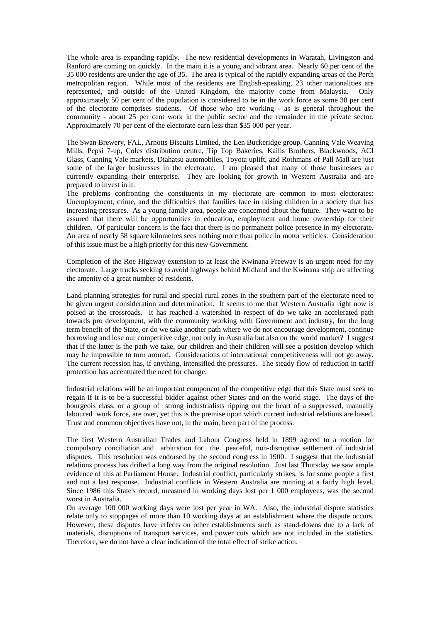The whole area is expanding rapidly. The new residential developments in Waratah, Livingston and Ranford are coming on quickly. In the main it is a young and vibrant area. Nearly 60 per cent of the 35 000 residents are under the age of 35. The area is typical of the rapidly expanding areas of the Perth metropolitan region. While most of the residents are English-speaking, 23 other nationalities are represented, and outside of the United Kingdom, the majority come from Malaysia. Only approximately 50 per cent of the population is considered to be in the work force as some 38 per cent of the electorate comprises students. Of those who are working - as is general throughout the community - about 25 per cent work in the public sector and the remainder in the private sector. Approximately 70 per cent of the electorate earn less than \$35 000 per year.

The Swan Brewery, FAL, Arnotts Biscuits Limited, the Len Buckeridge group, Canning Vale Weaving Mills, Pepsi 7-up, Coles distribution centre, Tip Top Bakeries, Kailis Brothers, Blackwoods, ACI Glass, Canning Vale markets, Diahatsu automobiles, Toyota uplift, and Rothmans of Pall Mall are just some of the larger businesses in the electorate. I am pleased that many of those businesses are currently expanding their enterprise. They are looking for growth in Western Australia and are prepared to invest in it.

The problems confronting the constituents in my electorate are common to most electorates: Unemployment, crime, and the difficulties that families face in raising children in a society that has increasing pressures. As a young family area, people are concerned about the future. They want to be assured that there will be opportunities in education, employment and home ownership for their children. Of particular concern is the fact that there is no permanent police presence in my electorate. An area of nearly 58 square kilometres sees nothing more than police in motor vehicles. Consideration of this issue must be a high priority for this new Government.

Completion of the Roe Highway extension to at least the Kwinana Freeway is an urgent need for my electorate. Large trucks seeking to avoid highways behind Midland and the Kwinana strip are affecting the amenity of a great number of residents.

Land planning strategies for rural and special rural zones in the southern part of the electorate need to be given urgent consideration and determination. It seems to me that Western Australia right now is poised at the crossroads. It has reached a watershed in respect of do we take an accelerated path towards pro development, with the community working with Government and industry, for the long term benefit of the State, or do we take another path where we do not encourage development, continue borrowing and lose our competitive edge, not only in Australia but also on the world market? I suggest that if the latter is the path we take, our children and their children will see a position develop which may be impossible to turn around. Considerations of international competitiveness will not go away. The current recession has, if anything, intensified the pressures. The steady flow of reduction in tariff protection has accentuated the need for change.

Industrial relations will be an important component of the competitive edge that this State must seek to regain if it is to be a successful bidder against other States and on the world stage. The days of the bourgeois class, or a group of strong industrialists ripping out the heart of a suppressed, manually laboured work force, are over, yet this is the premise upon which current industrial relations are based. Trust and common objectives have not, in the main, been part of the process.

The first Western Australian Trades and Labour Congress held in 1899 agreed to a motion for compulsory conciliation and arbitration for the peaceful, non-disruptive settlement of industrial disputes. This resolution was endorsed by the second congress in 1900. I suggest that the industrial relations process has drifted a long way from the original resolution. Just last Thursday we saw ample evidence of this at Parliament House. Industrial conflict, particularly strikes, is for some people a first and not a last response. Industrial conflicts in Western Australia are running at a fairly high level. Since 1986 this State's record, measured in working days lost per 1 000 employees, was the second worst in Australia.

On average 100 000 working days were lost per year in WA. Also, the industrial dispute statistics relate only to stoppages of more than 10 working days at an establishment where the dispute occurs. However, these disputes have effects on other establishments such as stand-downs due to a lack of materials, disruptions of transport services, and power cuts which are not included in the statistics. Therefore, we do not have a clear indication of the total effect of strike action.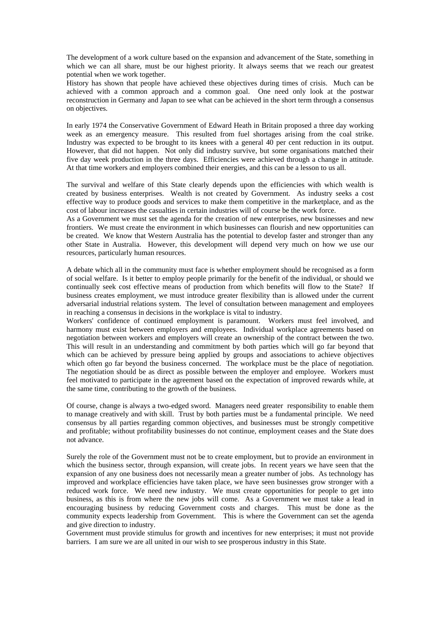The development of a work culture based on the expansion and advancement of the State, something in which we can all share, must be our highest priority. It always seems that we reach our greatest potential when we work together.

History has shown that people have achieved these objectives during times of crisis. Much can be achieved with a common approach and a common goal. One need only look at the postwar reconstruction in Germany and Japan to see what can be achieved in the short term through a consensus on objectives.

In early 1974 the Conservative Government of Edward Heath in Britain proposed a three day working week as an emergency measure. This resulted from fuel shortages arising from the coal strike. Industry was expected to be brought to its knees with a general 40 per cent reduction in its output. However, that did not happen. Not only did industry survive, but some organisations matched their five day week production in the three days. Efficiencies were achieved through a change in attitude. At that time workers and employers combined their energies, and this can be a lesson to us all.

The survival and welfare of this State clearly depends upon the efficiencies with which wealth is created by business enterprises. Wealth is not created by Government. As industry seeks a cost effective way to produce goods and services to make them competitive in the marketplace, and as the cost of labour increases the casualties in certain industries will of course be the work force.

As a Government we must set the agenda for the creation of new enterprises, new businesses and new frontiers. We must create the environment in which businesses can flourish and new opportunities can be created. We know that Western Australia has the potential to develop faster and stronger than any other State in Australia. However, this development will depend very much on how we use our resources, particularly human resources.

A debate which all in the community must face is whether employment should be recognised as a form of social welfare. Is it better to employ people primarily for the benefit of the individual, or should we continually seek cost effective means of production from which benefits will flow to the State? If business creates employment, we must introduce greater flexibility than is allowed under the current adversarial industrial relations system. The level of consultation between management and employees in reaching a consensus in decisions in the workplace is vital to industry.

Workers' confidence of continued employment is paramount. Workers must feel involved, and harmony must exist between employers and employees. Individual workplace agreements based on negotiation between workers and employers will create an ownership of the contract between the two. This will result in an understanding and commitment by both parties which will go far beyond that which can be achieved by pressure being applied by groups and associations to achieve objectives which often go far beyond the business concerned. The workplace must be the place of negotiation. The negotiation should be as direct as possible between the employer and employee. Workers must feel motivated to participate in the agreement based on the expectation of improved rewards while, at the same time, contributing to the growth of the business.

Of course, change is always a two-edged sword. Managers need greater responsibility to enable them to manage creatively and with skill. Trust by both parties must be a fundamental principle. We need consensus by all parties regarding common objectives, and businesses must be strongly competitive and profitable; without profitability businesses do not continue, employment ceases and the State does not advance.

Surely the role of the Government must not be to create employment, but to provide an environment in which the business sector, through expansion, will create jobs. In recent years we have seen that the expansion of any one business does not necessarily mean a greater number of jobs. As technology has improved and workplace efficiencies have taken place, we have seen businesses grow stronger with a reduced work force. We need new industry. We must create opportunities for people to get into business, as this is from where the new jobs will come. As a Government we must take a lead in encouraging business by reducing Government costs and charges. This must be done as the community expects leadership from Government. This is where the Government can set the agenda and give direction to industry.

Government must provide stimulus for growth and incentives for new enterprises; it must not provide barriers. I am sure we are all united in our wish to see prosperous industry in this State.